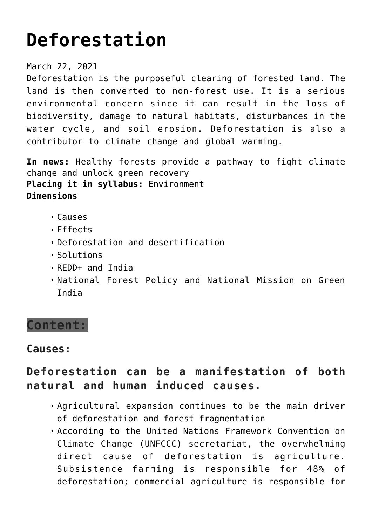# **[Deforestation](https://journalsofindia.com/deforestation/)**

### March 22, 2021

Deforestation is the purposeful clearing of forested land. The land is then converted to non-forest use. It is a serious environmental concern since it can result in the loss of biodiversity, damage to natural habitats, disturbances in the water cycle, and soil erosion. Deforestation is also a contributor to climate change and global warming.

**In news:** Healthy forests provide a pathway to fight climate change and unlock green recovery **Placing it in syllabus:** Environment **Dimensions**

- Causes
- Effects
- Deforestation and desertification
- Solutions
- REDD+ and India
- National Forest Policy and National Mission on Green India

# **Content:**

# **Causes:**

# **Deforestation can be a manifestation of both natural and human induced causes.**

- Agricultural expansion continues to be the main driver of deforestation and forest fragmentation
- According to the United Nations Framework Convention on Climate Change (UNFCCC) secretariat, the overwhelming direct cause of deforestation is agriculture. Subsistence farming is responsible for 48% of deforestation; commercial agriculture is responsible for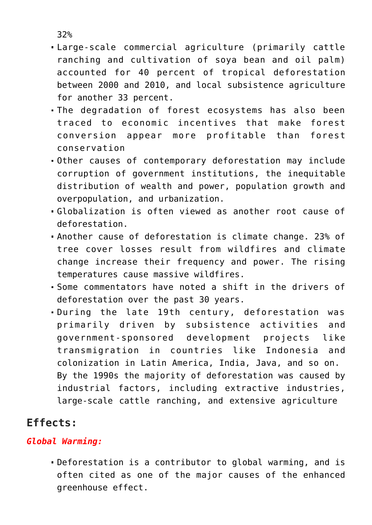32%

- Large-scale commercial agriculture (primarily cattle ranching and cultivation of soya bean and oil palm) accounted for 40 percent of tropical deforestation between 2000 and 2010, and local subsistence agriculture for another 33 percent.
- The degradation of forest ecosystems has also been traced to economic incentives that make forest conversion appear more profitable than forest conservation
- Other causes of contemporary deforestation may include corruption of government institutions, the inequitable distribution of wealth and power, population growth and overpopulation, and urbanization.
- Globalization is often viewed as another root cause of deforestation.
- Another cause of deforestation is climate change. 23% of tree cover losses result from wildfires and climate change increase their frequency and power. The rising temperatures cause massive wildfires.
- Some commentators have noted a shift in the drivers of deforestation over the past 30 years.
- During the late 19th century, deforestation was primarily driven by subsistence activities and government-sponsored development projects like transmigration in countries like Indonesia and colonization in Latin America, India, Java, and so on. By the 1990s the majority of deforestation was caused by industrial factors, including extractive industries, large-scale cattle ranching, and extensive agriculture

# **Effects:**

## *Global Warming:*

Deforestation is a contributor to global warming, and is often cited as one of the major causes of the enhanced greenhouse effect.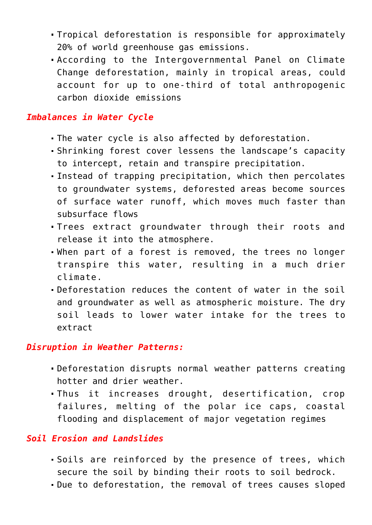- Tropical deforestation is responsible for approximately 20% of world greenhouse gas emissions.
- According to the Intergovernmental Panel on Climate Change deforestation, mainly in tropical areas, could account for up to one-third of total anthropogenic carbon dioxide emissions

### *Imbalances in Water Cycle*

- The water cycle is also affected by deforestation.
- Shrinking forest cover lessens the landscape's capacity to intercept, retain and transpire precipitation.
- Instead of trapping precipitation, which then percolates to groundwater systems, deforested areas become sources of surface water runoff, which moves much faster than subsurface flows
- Trees extract groundwater through their roots and release it into the atmosphere.
- When part of a forest is removed, the trees no longer transpire this water, resulting in a much drier climate.
- Deforestation reduces the content of water in the soil and groundwater as well as atmospheric moisture. The dry soil leads to lower water intake for the trees to extract

### *Disruption in Weather Patterns:*

- Deforestation disrupts normal weather patterns creating hotter and drier weather.
- Thus it increases drought, desertification, crop failures, melting of the polar ice caps, coastal flooding and displacement of major vegetation regimes

### *Soil Erosion and Landslides*

- Soils are reinforced by the presence of trees, which secure the soil by binding their roots to soil bedrock.
- Due to deforestation, the removal of trees causes sloped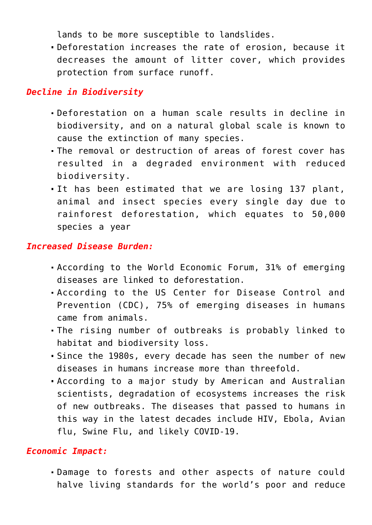lands to be more susceptible to landslides.

Deforestation increases the rate of erosion, because it decreases the amount of litter cover, which provides protection from surface runoff.

### *Decline in Biodiversity*

- Deforestation on a human scale results in decline in biodiversity, and on a natural global scale is known to cause the extinction of many species.
- The removal or destruction of areas of forest cover has resulted in a degraded environment with reduced biodiversity.
- It has been estimated that we are losing 137 plant, animal and insect species every single day due to rainforest deforestation, which equates to 50,000 species a year

### *Increased Disease Burden:*

- According to the World Economic Forum, 31% of emerging diseases are linked to deforestation.
- According to the US Center for Disease Control and Prevention (CDC), 75% of emerging diseases in humans came from animals.
- The rising number of outbreaks is probably linked to habitat and biodiversity loss.
- Since the 1980s, every decade has seen the number of new diseases in humans increase more than threefold.
- According to a major study by American and Australian scientists, degradation of ecosystems increases the risk of new outbreaks. The diseases that passed to humans in this way in the latest decades include HIV, Ebola, Avian flu, Swine Flu, and likely COVID-19.

### *Economic Impact:*

Damage to forests and other aspects of nature could halve living standards for the world's poor and reduce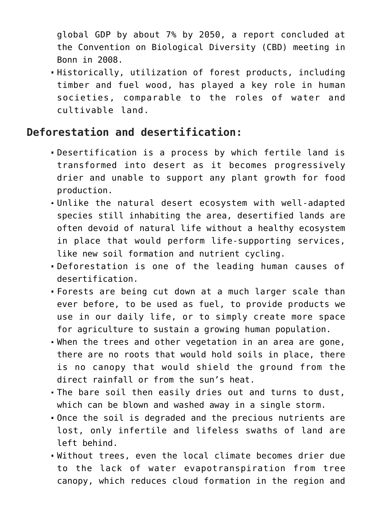global GDP by about 7% by 2050, a report concluded at the Convention on Biological Diversity (CBD) meeting in Bonn in 2008.

Historically, utilization of forest products, including timber and fuel wood, has played a key role in human societies, comparable to the roles of water and cultivable land.

# **Deforestation and desertification:**

- Desertification is a process by which fertile land is transformed into desert as it becomes progressively drier and unable to support any plant growth for food production.
- Unlike the natural desert ecosystem with well-adapted species still inhabiting the area, desertified lands are often devoid of natural life without a healthy ecosystem in place that would perform life-supporting services, like new soil formation and nutrient cycling.
- Deforestation is one of the leading human causes of desertification.
- Forests are being cut down at a much larger scale than ever before, to be used as fuel, to provide products we use in our daily life, or to simply create more space for agriculture to sustain a growing human population.
- When the trees and other vegetation in an area are gone, there are no roots that would hold soils in place, there is no canopy that would shield the ground from the direct rainfall or from the sun's heat.
- The bare soil then easily dries out and turns to dust, which can be blown and washed away in a single storm.
- Once the soil is degraded and the precious nutrients are lost, only infertile and lifeless swaths of land are left behind.
- Without trees, even the local climate becomes drier due to the lack of water evapotranspiration from tree canopy, which reduces cloud formation in the region and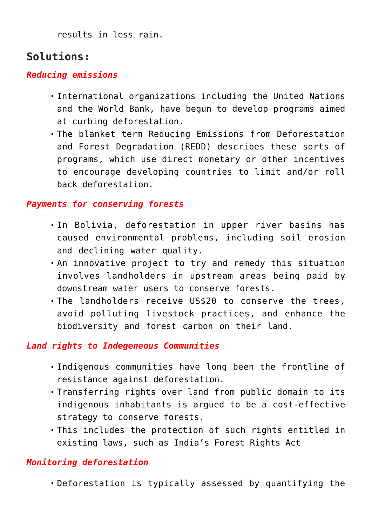results in less rain.

# **Solutions:**

### *Reducing emissions*

- International organizations including the United Nations and the World Bank, have begun to develop programs aimed at curbing deforestation.
- The blanket term Reducing Emissions from Deforestation and Forest Degradation (REDD) describes these sorts of programs, which use direct monetary or other incentives to encourage developing countries to limit and/or roll back deforestation.

### *Payments for conserving forests*

- In Bolivia, deforestation in upper river basins has caused environmental problems, including soil erosion and declining water quality.
- An innovative project to try and remedy this situation involves landholders in upstream areas being paid by downstream water users to conserve forests.
- The landholders receive US\$20 to conserve the trees, avoid polluting livestock practices, and enhance the biodiversity and forest carbon on their land.

### *Land rights to Indegeneous Communities*

- Indigenous communities have long been the frontline of resistance against deforestation.
- Transferring rights over land from public domain to its indigenous inhabitants is argued to be a cost-effective strategy to conserve forests.
- This includes the protection of such rights entitled in existing laws, such as India's Forest Rights Act

## *Monitoring deforestation*

Deforestation is typically assessed by quantifying the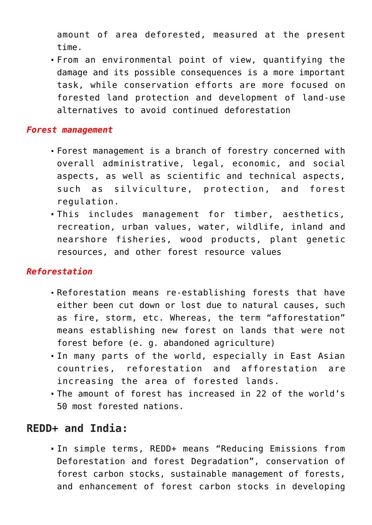amount of area deforested, measured at the present time.

From an environmental point of view, quantifying the damage and its possible consequences is a more important task, while conservation efforts are more focused on forested land protection and development of land-use alternatives to avoid continued deforestation

#### *Forest management*

- Forest management is a branch of forestry concerned with overall administrative, legal, economic, and social aspects, as well as scientific and technical aspects, such as silviculture, protection, and forest regulation.
- This includes management for timber, aesthetics, recreation, urban values, water, wildlife, inland and nearshore fisheries, wood products, plant genetic resources, and other forest resource values

### *Reforestation*

- Reforestation means re-establishing forests that have either been cut down or lost due to natural causes, such as fire, storm, etc. Whereas, the term "afforestation" means establishing new forest on lands that were not forest before (e. g. abandoned agriculture)
- In many parts of the world, especially in East Asian countries, reforestation and afforestation are increasing the area of forested lands.
- The amount of forest has increased in 22 of the world's 50 most forested nations.

## **REDD+ and India:**

In simple terms, REDD+ means "Reducing Emissions from Deforestation and forest Degradation", conservation of forest carbon stocks, sustainable management of forests, and enhancement of forest carbon stocks in developing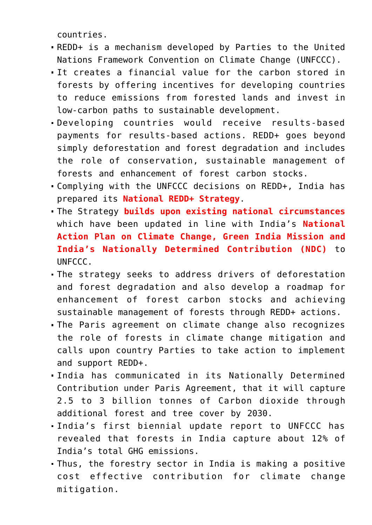countries.

- REDD+ is a mechanism developed by Parties to the United Nations Framework Convention on Climate Change (UNFCCC).
- It creates a financial value for the carbon stored in forests by offering incentives for developing countries to reduce emissions from forested lands and invest in low-carbon paths to sustainable development.
- Developing countries would receive results-based payments for results-based actions. REDD+ goes beyond simply deforestation and forest degradation and includes the role of conservation, sustainable management of forests and enhancement of forest carbon stocks.
- Complying with the UNFCCC decisions on REDD+, India has prepared its **National REDD+ Strategy**.
- The Strategy **builds upon existing national circumstances** which have been updated in line with India's **National Action Plan on Climate Change, Green India Mission and India's Nationally Determined Contribution (NDC)** to UNFCCC.
- The strategy seeks to address drivers of deforestation and forest degradation and also develop a roadmap for enhancement of forest carbon stocks and achieving sustainable management of forests through REDD+ actions.
- The Paris agreement on climate change also recognizes the role of forests in climate change mitigation and calls upon country Parties to take action to implement and support REDD+.
- India has communicated in its Nationally Determined Contribution under Paris Agreement, that it will capture 2.5 to 3 billion tonnes of Carbon dioxide through additional forest and tree cover by 2030.
- India's first biennial update report to UNFCCC has revealed that forests in India capture about 12% of India's total GHG emissions.
- Thus, the forestry sector in India is making a positive cost effective contribution for climate change mitigation.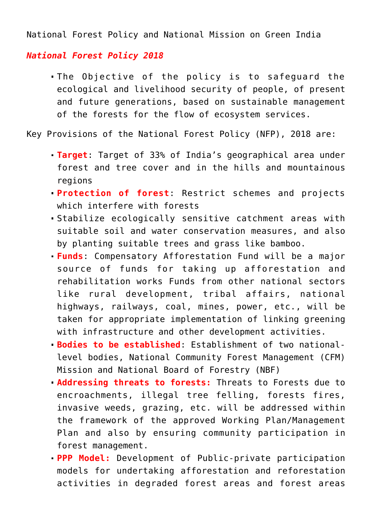National Forest Policy and National Mission on Green India

### *National Forest Policy 2018*

The Objective of the policy is to safeguard the ecological and livelihood security of people, of present and future generations, based on sustainable management of the forests for the flow of ecosystem services.

Key Provisions of the National Forest Policy (NFP), 2018 are:

- **Target**: Target of 33% of India's geographical area under forest and tree cover and in the hills and mountainous regions
- **Protection of forest**: Restrict schemes and projects which interfere with forests
- Stabilize ecologically sensitive catchment areas with suitable soil and water conservation measures, and also by planting suitable trees and grass like bamboo.
- **Funds**: Compensatory Afforestation Fund will be a major source of funds for taking up afforestation and rehabilitation works Funds from other national sectors like rural development, tribal affairs, national highways, railways, coal, mines, power, etc., will be taken for appropriate implementation of linking greening with infrastructure and other development activities.
- **Bodies to be established**: Establishment of two nationallevel bodies, National Community Forest Management (CFM) Mission and National Board of Forestry (NBF)
- **Addressing threats to forests:** Threats to Forests due to encroachments, illegal tree felling, forests fires, invasive weeds, grazing, etc. will be addressed within the framework of the approved Working Plan/Management Plan and also by ensuring community participation in forest management.
- **PPP Model:** Development of Public-private participation models for undertaking afforestation and reforestation activities in degraded forest areas and forest areas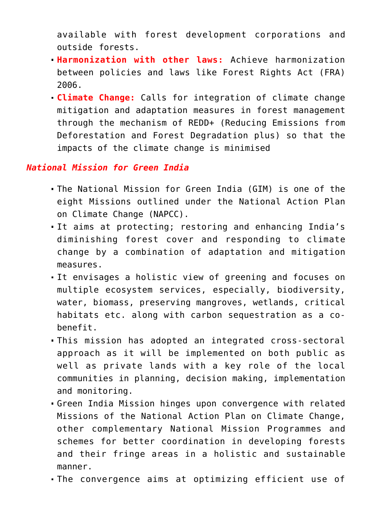available with forest development corporations and outside forests.

- **Harmonization with other laws:** Achieve harmonization between policies and laws like Forest Rights Act (FRA) 2006.
- **Climate Change:** Calls for integration of climate change mitigation and adaptation measures in forest management through the mechanism of REDD+ (Reducing Emissions from Deforestation and Forest Degradation plus) so that the impacts of the climate change is minimised

#### *National Mission for Green India*

- The National Mission for Green India (GIM) is one of the eight Missions outlined under the National Action Plan on Climate Change (NAPCC).
- It aims at protecting; restoring and enhancing India's diminishing forest cover and responding to climate change by a combination of adaptation and mitigation measures.
- It envisages a holistic view of greening and focuses on multiple ecosystem services, especially, biodiversity, water, biomass, preserving mangroves, wetlands, critical habitats etc. along with carbon sequestration as a cobenefit.
- This mission has adopted an integrated cross-sectoral approach as it will be implemented on both public as well as private lands with a key role of the local communities in planning, decision making, implementation and monitoring.
- Green India Mission hinges upon convergence with related Missions of the National Action Plan on Climate Change, other complementary National Mission Programmes and schemes for better coordination in developing forests and their fringe areas in a holistic and sustainable manner.
- The convergence aims at optimizing efficient use of